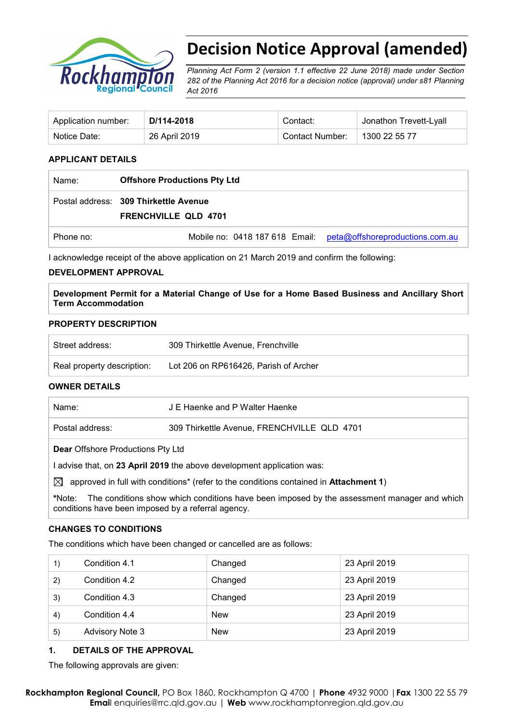

# **Decision Notice Approval (amended)**

*Planning Act Form 2 (version 1.1 effective 22 June 2018) made under Section 282 of the Planning Act 2016 for a decision notice (approval) under s81 Planning Act 2016* 

| Application number: | D/114-2018    | Contact:        | Jonathon Trevett-Lyall |
|---------------------|---------------|-----------------|------------------------|
| Notice Date:        | 26 April 2019 | Contact Number: | 1300 22 55 77          |

### **APPLICANT DETAILS**

| Name:     | <b>Offshore Productions Pty Ltd</b>                                  |                                                                |  |
|-----------|----------------------------------------------------------------------|----------------------------------------------------------------|--|
|           | Postal address: 309 Thirkettle Avenue<br><b>FRENCHVILLE QLD 4701</b> |                                                                |  |
| Phone no: |                                                                      | Mobile no: 0418 187 618 Email: peta@offshoreproductions.com.au |  |

I acknowledge receipt of the above application on 21 March 2019 and confirm the following:

### **DEVELOPMENT APPROVAL**

**Development Permit for a Material Change of Use for a Home Based Business and Ancillary Short Term Accommodation**

### **PROPERTY DESCRIPTION**

| Street address:            | 309 Thirkettle Avenue, Frenchville    |
|----------------------------|---------------------------------------|
| Real property description: | Lot 206 on RP616426, Parish of Archer |

#### **OWNER DETAILS**

| Name:                                    | J E Haenke and P Walter Haenke              |  |  |
|------------------------------------------|---------------------------------------------|--|--|
| Postal address:                          | 309 Thirkettle Avenue, FRENCHVILLE QLD 4701 |  |  |
| <b>Dear Offshore Productions Pty Ltd</b> |                                             |  |  |

I advise that, on **23 April 2019** the above development application was:

 $\boxtimes$  approved in full with conditions<sup>\*</sup> (refer to the conditions contained in **Attachment 1**)

**\***Note:The conditions show which conditions have been imposed by the assessment manager and which conditions have been imposed by a referral agency.

### **CHANGES TO CONDITIONS**

The conditions which have been changed or cancelled are as follows:

| 1) | Condition 4.1          | Changed    | 23 April 2019 |
|----|------------------------|------------|---------------|
| 2) | Condition 4.2          | Changed    | 23 April 2019 |
| 3) | Condition 4.3          | Changed    | 23 April 2019 |
| 4) | Condition 4.4          | <b>New</b> | 23 April 2019 |
| 5) | <b>Advisory Note 3</b> | <b>New</b> | 23 April 2019 |

## **1. DETAILS OF THE APPROVAL**

The following approvals are given: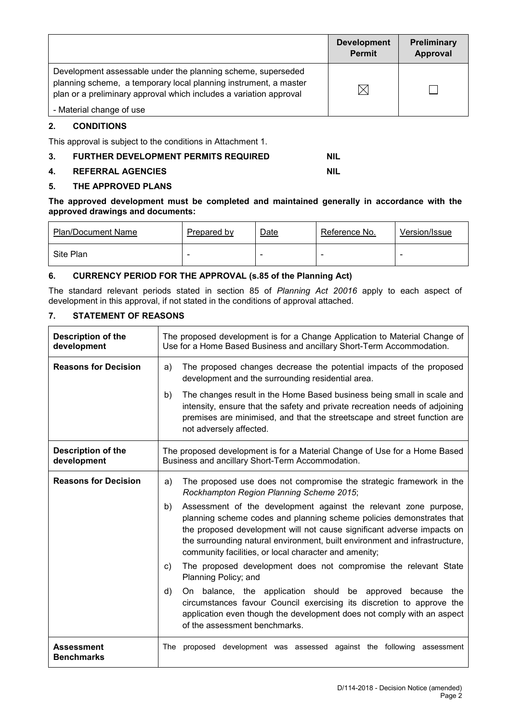|                                                                                                                                                                                                        | <b>Development</b><br><b>Permit</b> | <b>Preliminary</b><br>Approval |
|--------------------------------------------------------------------------------------------------------------------------------------------------------------------------------------------------------|-------------------------------------|--------------------------------|
| Development assessable under the planning scheme, superseded<br>planning scheme, a temporary local planning instrument, a master<br>plan or a preliminary approval which includes a variation approval | $\times$                            |                                |
| - Material change of use                                                                                                                                                                               |                                     |                                |

# **2. CONDITIONS**

This approval is subject to the conditions in Attachment 1.

# **3. FURTHER DEVELOPMENT PERMITS REQUIRED NIL**

### **4. REFERRAL AGENCIES NIL**

### **5. THE APPROVED PLANS**

**The approved development must be completed and maintained generally in accordance with the approved drawings and documents:**

| <b>Plan/Document Name</b> | Prepared by | Date | Reference No. | Version/Issue |
|---------------------------|-------------|------|---------------|---------------|
| Site Plan                 | -           | -    |               |               |

## **6. CURRENCY PERIOD FOR THE APPROVAL (s.85 of the Planning Act)**

The standard relevant periods stated in section 85 of *Planning Act 20016* apply to each aspect of development in this approval, if not stated in the conditions of approval attached.

## **7. STATEMENT OF REASONS**

| <b>Description of the</b><br>development | The proposed development is for a Change Application to Material Change of<br>Use for a Home Based Business and ancillary Short-Term Accommodation.                                                                                                                                                                                                             |  |  |
|------------------------------------------|-----------------------------------------------------------------------------------------------------------------------------------------------------------------------------------------------------------------------------------------------------------------------------------------------------------------------------------------------------------------|--|--|
| <b>Reasons for Decision</b>              | The proposed changes decrease the potential impacts of the proposed<br>a)<br>development and the surrounding residential area.                                                                                                                                                                                                                                  |  |  |
|                                          | The changes result in the Home Based business being small in scale and<br>b)<br>intensity, ensure that the safety and private recreation needs of adjoining<br>premises are minimised, and that the streetscape and street function are<br>not adversely affected.                                                                                              |  |  |
| <b>Description of the</b><br>development | The proposed development is for a Material Change of Use for a Home Based<br>Business and ancillary Short-Term Accommodation.                                                                                                                                                                                                                                   |  |  |
| <b>Reasons for Decision</b>              | The proposed use does not compromise the strategic framework in the<br>a)<br>Rockhampton Region Planning Scheme 2015;                                                                                                                                                                                                                                           |  |  |
|                                          | Assessment of the development against the relevant zone purpose,<br>b)<br>planning scheme codes and planning scheme policies demonstrates that<br>the proposed development will not cause significant adverse impacts on<br>the surrounding natural environment, built environment and infrastructure,<br>community facilities, or local character and amenity; |  |  |
|                                          | The proposed development does not compromise the relevant State<br>C)<br>Planning Policy; and                                                                                                                                                                                                                                                                   |  |  |
|                                          | On balance, the application should be approved because<br>d)<br>the<br>circumstances favour Council exercising its discretion to approve the<br>application even though the development does not comply with an aspect<br>of the assessment benchmarks.                                                                                                         |  |  |
| <b>Assessment</b><br><b>Benchmarks</b>   | proposed development was assessed against the following assessment<br>The                                                                                                                                                                                                                                                                                       |  |  |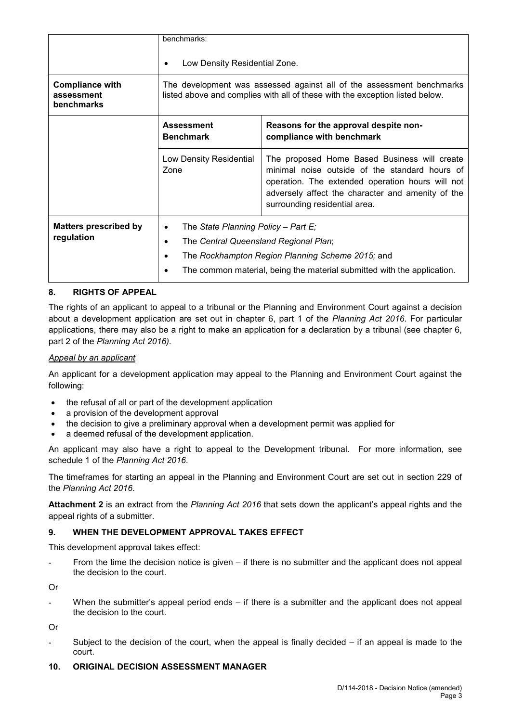|                                                           | benchmarks:<br>Low Density Residential Zone.                                                                                                                                                                          |                                                                                                                                                                                                                                          |  |
|-----------------------------------------------------------|-----------------------------------------------------------------------------------------------------------------------------------------------------------------------------------------------------------------------|------------------------------------------------------------------------------------------------------------------------------------------------------------------------------------------------------------------------------------------|--|
| <b>Compliance with</b><br>assessment<br><b>benchmarks</b> | The development was assessed against all of the assessment benchmarks<br>listed above and complies with all of these with the exception listed below.                                                                 |                                                                                                                                                                                                                                          |  |
|                                                           | <b>Assessment</b><br><b>Benchmark</b>                                                                                                                                                                                 | Reasons for the approval despite non-<br>compliance with benchmark                                                                                                                                                                       |  |
| Low Density Residential<br>Zone                           |                                                                                                                                                                                                                       | The proposed Home Based Business will create<br>minimal noise outside of the standard hours of<br>operation. The extended operation hours will not<br>adversely affect the character and amenity of the<br>surrounding residential area. |  |
| <b>Matters prescribed by</b><br>regulation                | The State Planning Policy – Part E;<br>٠<br>The Central Queensland Regional Plan;<br>٠<br>The Rockhampton Region Planning Scheme 2015; and<br>The common material, being the material submitted with the application. |                                                                                                                                                                                                                                          |  |

## **8. RIGHTS OF APPEAL**

The rights of an applicant to appeal to a tribunal or the Planning and Environment Court against a decision about a development application are set out in chapter 6, part 1 of the *Planning Act 2016*. For particular applications, there may also be a right to make an application for a declaration by a tribunal (see chapter 6, part 2 of the *Planning Act 2016).*

### *Appeal by an applicant*

An applicant for a development application may appeal to the Planning and Environment Court against the following:

- the refusal of all or part of the development application
- a provision of the development approval
- the decision to give a preliminary approval when a development permit was applied for
- a deemed refusal of the development application.

An applicant may also have a right to appeal to the Development tribunal. For more information, see schedule 1 of the *Planning Act 2016*.

The timeframes for starting an appeal in the Planning and Environment Court are set out in section 229 of the *Planning Act 2016*.

**Attachment 2** is an extract from the *Planning Act 2016* that sets down the applicant's appeal rights and the appeal rights of a submitter.

# **9. WHEN THE DEVELOPMENT APPROVAL TAKES EFFECT**

This development approval takes effect:

From the time the decision notice is given – if there is no submitter and the applicant does not appeal the decision to the court.

Or

When the submitter's appeal period ends  $-$  if there is a submitter and the applicant does not appeal the decision to the court.

Or

Subject to the decision of the court, when the appeal is finally decided  $-$  if an appeal is made to the court.

### **10. ORIGINAL DECISION ASSESSMENT MANAGER**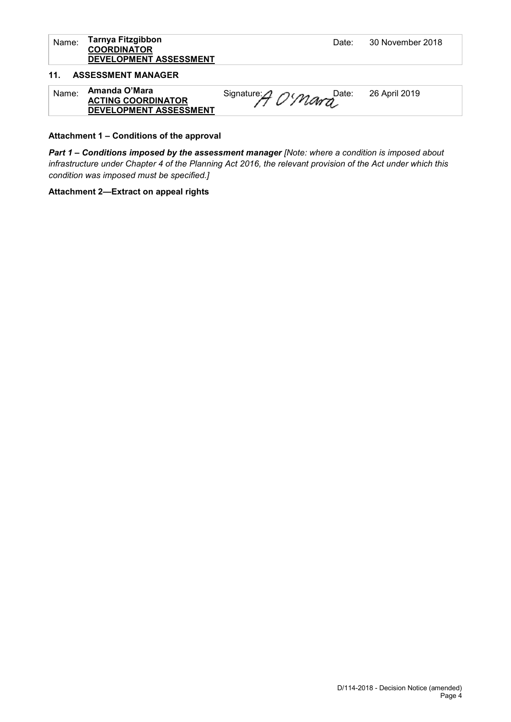| Name:           | Tarnya Fitzgibbon<br><b>COORDINATOR</b><br>DEVELOPMENT ASSESSMENT    | Date:               | 30 November 2018 |
|-----------------|----------------------------------------------------------------------|---------------------|------------------|
| 11 <sub>1</sub> | <b>ASSESSMENT MANAGER</b>                                            |                     |                  |
| Name:           | Amanda O'Mara<br><b>ACTING COORDINATOR</b><br>DEVELOPMENT ASSESSMENT | Signature: A O'Mara | 26 April 2019    |

### **Attachment 1 – Conditions of the approval**

*Part 1* **–** *Conditions imposed by the assessment manager [Note: where a condition is imposed about infrastructure under Chapter 4 of the Planning Act 2016, the relevant provision of the Act under which this condition was imposed must be specified.]*

### **Attachment 2—Extract on appeal rights**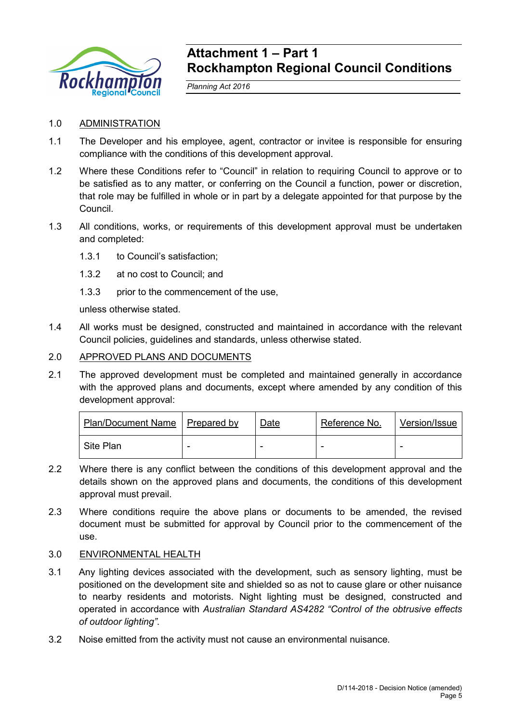

# **Attachment 1 – Part 1 Rockhampton Regional Council Conditions**

*Planning Act 2016*

# 1.0 ADMINISTRATION

- 1.1 The Developer and his employee, agent, contractor or invitee is responsible for ensuring compliance with the conditions of this development approval.
- 1.2 Where these Conditions refer to "Council" in relation to requiring Council to approve or to be satisfied as to any matter, or conferring on the Council a function, power or discretion, that role may be fulfilled in whole or in part by a delegate appointed for that purpose by the Council.
- 1.3 All conditions, works, or requirements of this development approval must be undertaken and completed:
	- 1.3.1 to Council's satisfaction;
	- 1.3.2 at no cost to Council; and
	- 1.3.3 prior to the commencement of the use,

unless otherwise stated.

1.4 All works must be designed, constructed and maintained in accordance with the relevant Council policies, guidelines and standards, unless otherwise stated.

# 2.0 APPROVED PLANS AND DOCUMENTS

2.1 The approved development must be completed and maintained generally in accordance with the approved plans and documents, except where amended by any condition of this development approval:

| Plan/Document Name   Prepared by | <u>Date</u> | Reference No. | Version/Issue |
|----------------------------------|-------------|---------------|---------------|
| Site Plan                        |             |               |               |

- 2.2 Where there is any conflict between the conditions of this development approval and the details shown on the approved plans and documents, the conditions of this development approval must prevail.
- 2.3 Where conditions require the above plans or documents to be amended, the revised document must be submitted for approval by Council prior to the commencement of the use.

# 3.0 ENVIRONMENTAL HEALTH

- 3.1 Any lighting devices associated with the development, such as sensory lighting, must be positioned on the development site and shielded so as not to cause glare or other nuisance to nearby residents and motorists. Night lighting must be designed, constructed and operated in accordance with *Australian Standard AS4282 "Control of the obtrusive effects of outdoor lighting"*.
- 3.2 Noise emitted from the activity must not cause an environmental nuisance.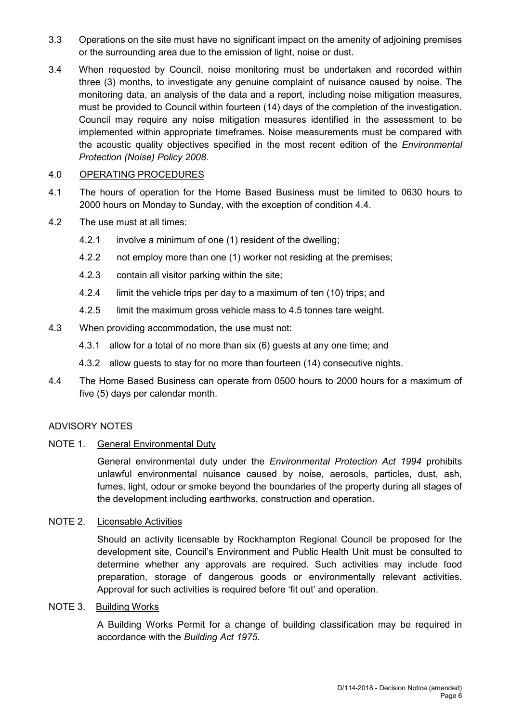- 3.3 Operations on the site must have no significant impact on the amenity of adjoining premises or the surrounding area due to the emission of light, noise or dust.
- 3.4 When requested by Council, noise monitoring must be undertaken and recorded within three (3) months, to investigate any genuine complaint of nuisance caused by noise. The monitoring data, an analysis of the data and a report, including noise mitigation measures, must be provided to Council within fourteen (14) days of the completion of the investigation. Council may require any noise mitigation measures identified in the assessment to be implemented within appropriate timeframes. Noise measurements must be compared with the acoustic quality objectives specified in the most recent edition of the *Environmental Protection (Noise) Policy 2008*.

# 4.0 OPERATING PROCEDURES

- 4.1 The hours of operation for the Home Based Business must be limited to 0630 hours to 2000 hours on Monday to Sunday, with the exception of condition 4.4.
- 4.2 The use must at all times:
	- 4.2.1 involve a minimum of one (1) resident of the dwelling;
	- 4.2.2 not employ more than one (1) worker not residing at the premises;
	- 4.2.3 contain all visitor parking within the site;
	- 4.2.4 limit the vehicle trips per day to a maximum of ten (10) trips; and
	- 4.2.5 limit the maximum gross vehicle mass to 4.5 tonnes tare weight.
- 4.3 When providing accommodation, the use must not:
	- 4.3.1 allow for a total of no more than six (6) guests at any one time; and
	- 4.3.2 allow guests to stay for no more than fourteen (14) consecutive nights.
- 4.4 The Home Based Business can operate from 0500 hours to 2000 hours for a maximum of five (5) days per calendar month.

# ADVISORY NOTES

NOTE 1. General Environmental Duty

General environmental duty under the *Environmental Protection Act 1994* prohibits unlawful environmental nuisance caused by noise, aerosols, particles, dust, ash, fumes, light, odour or smoke beyond the boundaries of the property during all stages of the development including earthworks, construction and operation.

# NOTE 2. Licensable Activities

Should an activity licensable by Rockhampton Regional Council be proposed for the development site, Council's Environment and Public Health Unit must be consulted to determine whether any approvals are required. Such activities may include food preparation, storage of dangerous goods or environmentally relevant activities. Approval for such activities is required before 'fit out' and operation.

# NOTE 3. Building Works

A Building Works Permit for a change of building classification may be required in accordance with the *Building Act 1975.*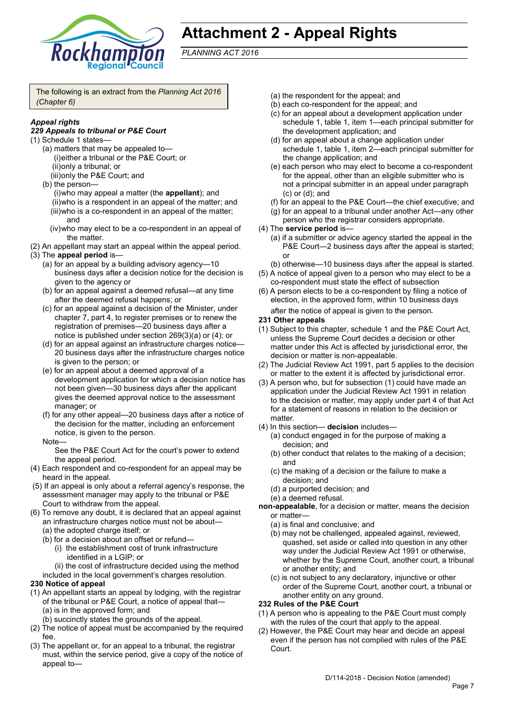

# **Attachment 2 - Appeal Rights**

*PLANNING ACT 2016*

The following is an extract from the *Planning Act 2016 (Chapter 6)*

# *Appeal rights*

### *229 Appeals to tribunal or P&E Court*

- (1) Schedule 1 states—
	- (a) matters that may be appealed to— (i)either a tribunal or the P&E Court; or (ii)only a tribunal; or
		- (iii)only the P&E Court; and
	- (b) the person— (i)who may appeal a matter (the **appellant**); and (ii)who is a respondent in an appeal of the matter; and (iii)who is a co-respondent in an appeal of the matter; and
		- (iv)who may elect to be a co-respondent in an appeal of the matter.
- (2) An appellant may start an appeal within the appeal period.
- (3) The **appeal period** is—
	- (a) for an appeal by a building advisory agency—10 business days after a decision notice for the decision is given to the agency or
	- (b) for an appeal against a deemed refusal—at any time after the deemed refusal happens; or
	- (c) for an appeal against a decision of the Minister, under chapter 7, part 4, to register premises or to renew the registration of premises—20 business days after a notice is published under section 269(3)(a) or (4); or
	- (d) for an appeal against an infrastructure charges notice-20 business days after the infrastructure charges notice is given to the person; or
	- (e) for an appeal about a deemed approval of a development application for which a decision notice has not been given—30 business days after the applicant gives the deemed approval notice to the assessment manager; or
	- (f) for any other appeal—20 business days after a notice of the decision for the matter, including an enforcement notice, is given to the person.
	- **Note**

See the P&E Court Act for the court's power to extend the appeal period.

- (4) Each respondent and co-respondent for an appeal may be heard in the appeal.
- (5) If an appeal is only about a referral agency's response, the assessment manager may apply to the tribunal or P&E Court to withdraw from the appeal.
- (6) To remove any doubt, it is declared that an appeal against an infrastructure charges notice must not be about—
	- (a) the adopted charge itself; or
	- (b) for a decision about an offset or refund—
		- (i) the establishment cost of trunk infrastructure identified in a LGIP; or
	- (ii) the cost of infrastructure decided using the method included in the local government's charges resolution.

### **230 Notice of appeal**

- (1) An appellant starts an appeal by lodging, with the registrar of the tribunal or P&E Court, a notice of appeal that— (a) is in the approved form; and
	- (b) succinctly states the grounds of the appeal.
- (2) The notice of appeal must be accompanied by the required fee.
- (3) The appellant or, for an appeal to a tribunal, the registrar must, within the service period, give a copy of the notice of appeal to—
- (a) the respondent for the appeal; and
- (b) each co-respondent for the appeal; and
- (c) for an appeal about a development application under schedule 1, table 1, item 1—each principal submitter for the development application; and
- (d) for an appeal about a change application under schedule 1, table 1, item 2—each principal submitter for the change application; and
- (e) each person who may elect to become a co-respondent for the appeal, other than an eligible submitter who is not a principal submitter in an appeal under paragraph (c) or (d); and
- (f) for an appeal to the P&E Court—the chief executive; and
- (g) for an appeal to a tribunal under another Act—any other person who the registrar considers appropriate.
- (4) The **service period** is—
	- (a) if a submitter or advice agency started the appeal in the P&E Court—2 business days after the appeal is started; or
	- (b) otherwise—10 business days after the appeal is started.
- (5) A notice of appeal given to a person who may elect to be a co-respondent must state the effect of subsection
- (6) A person elects to be a co-respondent by filing a notice of election, in the approved form, within 10 business days after the notice of appeal is given to the person*.*
- **231 Other appeals**
- (1) Subject to this chapter, schedule 1 and the P&E Court Act, unless the Supreme Court decides a decision or other matter under this Act is affected by jurisdictional error, the decision or matter is non-appealable.
- (2) The Judicial Review Act 1991, part 5 applies to the decision or matter to the extent it is affected by jurisdictional error.
- (3) A person who, but for subsection (1) could have made an application under the Judicial Review Act 1991 in relation to the decision or matter, may apply under part 4 of that Act for a statement of reasons in relation to the decision or matter.
- (4) In this section— **decision** includes—
	- (a) conduct engaged in for the purpose of making a decision; and
	- (b) other conduct that relates to the making of a decision; and
	- (c) the making of a decision or the failure to make a decision; and
	- (d) a purported decision; and
	- (e) a deemed refusal.
- **non-appealable**, for a decision or matter, means the decision or matter—
	- (a) is final and conclusive; and
	- (b) may not be challenged, appealed against, reviewed, quashed, set aside or called into question in any other way under the Judicial Review Act 1991 or otherwise, whether by the Supreme Court, another court, a tribunal or another entity; and
	- (c) is not subject to any declaratory, injunctive or other order of the Supreme Court, another court, a tribunal or another entity on any ground.

### **232 Rules of the P&E Court**

- (1) A person who is appealing to the P&E Court must comply with the rules of the court that apply to the appeal.
- (2) However, the P&E Court may hear and decide an appeal even if the person has not complied with rules of the P&E Court.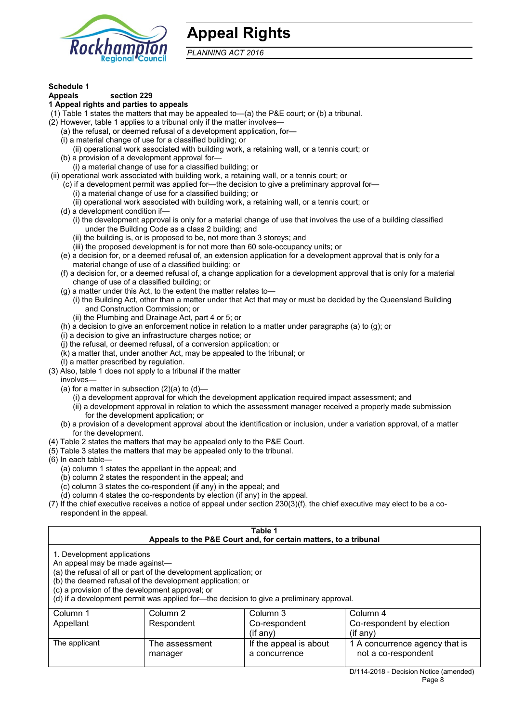

# **Appeal Rights**

*PLANNING ACT 2016*

# **Schedule 1**

#### **Appeals section 229**

#### **1 Appeal rights and parties to appeals**

(1) Table 1 states the matters that may be appealed to—(a) the P&E court; or (b) a tribunal.

- (2) However, table 1 applies to a tribunal only if the matter involves—
	- (a) the refusal, or deemed refusal of a development application, for—
	- (i) a material change of use for a classified building; or
	- (ii) operational work associated with building work, a retaining wall, or a tennis court; or
	- (b) a provision of a development approval for—
	- (i) a material change of use for a classified building; or
- (ii) operational work associated with building work, a retaining wall, or a tennis court; or
	- (c) if a development permit was applied for—the decision to give a preliminary approval for— (i) a material change of use for a classified building; or
		- (ii) operational work associated with building work, a retaining wall, or a tennis court; or
	- (d) a development condition if—
		- (i) the development approval is only for a material change of use that involves the use of a building classified under the Building Code as a class 2 building; and
		- (ii) the building is, or is proposed to be, not more than 3 storeys; and
		- (iii) the proposed development is for not more than 60 sole-occupancy units; or
	- (e) a decision for, or a deemed refusal of, an extension application for a development approval that is only for a material change of use of a classified building; or
	- (f) a decision for, or a deemed refusal of, a change application for a development approval that is only for a material change of use of a classified building; or
	- (g) a matter under this Act, to the extent the matter relates to—
		- (i) the Building Act, other than a matter under that Act that may or must be decided by the Queensland Building and Construction Commission; or
		- (ii) the Plumbing and Drainage Act, part 4 or 5; or
	- (h) a decision to give an enforcement notice in relation to a matter under paragraphs (a) to (g); or
	- (i) a decision to give an infrastructure charges notice; or
	- (j) the refusal, or deemed refusal, of a conversion application; or
	- (k) a matter that, under another Act, may be appealed to the tribunal; or
- (l) a matter prescribed by regulation. (3) Also, table 1 does not apply to a tribunal if the matter
	- involves—
	- (a) for a matter in subsection  $(2)(a)$  to  $(d)$ 
		- (i) a development approval for which the development application required impact assessment; and
		- (ii) a development approval in relation to which the assessment manager received a properly made submission for the development application; or
	- (b) a provision of a development approval about the identification or inclusion, under a variation approval, of a matter for the development.
- (4) Table 2 states the matters that may be appealed only to the P&E Court.
- (5) Table 3 states the matters that may be appealed only to the tribunal.
- (6) In each table—
	- (a) column 1 states the appellant in the appeal; and
	- (b) column 2 states the respondent in the appeal; and
	- (c) column 3 states the co-respondent (if any) in the appeal; and
	- (d) column 4 states the co-respondents by election (if any) in the appeal.
- (7) If the chief executive receives a notice of appeal under section 230(3)(f), the chief executive may elect to be a corespondent in the appeal.

| Table 1<br>Appeals to the P&E Court and, for certain matters, to a tribunal                                                                                                                                                                                                                                                                    |                           |                                         |                                                       |  |
|------------------------------------------------------------------------------------------------------------------------------------------------------------------------------------------------------------------------------------------------------------------------------------------------------------------------------------------------|---------------------------|-----------------------------------------|-------------------------------------------------------|--|
| 1. Development applications<br>An appeal may be made against-<br>(a) the refusal of all or part of the development application; or<br>(b) the deemed refusal of the development application; or<br>(c) a provision of the development approval; or<br>(d) if a development permit was applied for-the decision to give a preliminary approval. |                           |                                         |                                                       |  |
| Column 1                                                                                                                                                                                                                                                                                                                                       | Column 2                  | Column 3                                | Column 4                                              |  |
| Appellant                                                                                                                                                                                                                                                                                                                                      | Respondent                | Co-respondent<br>$($ if any $)$         | Co-respondent by election<br>$(if$ any)               |  |
| The applicant                                                                                                                                                                                                                                                                                                                                  | The assessment<br>manager | If the appeal is about<br>a concurrence | 1 A concurrence agency that is<br>not a co-respondent |  |
| D/114-2018 - Decision Notice (amended)                                                                                                                                                                                                                                                                                                         |                           |                                         |                                                       |  |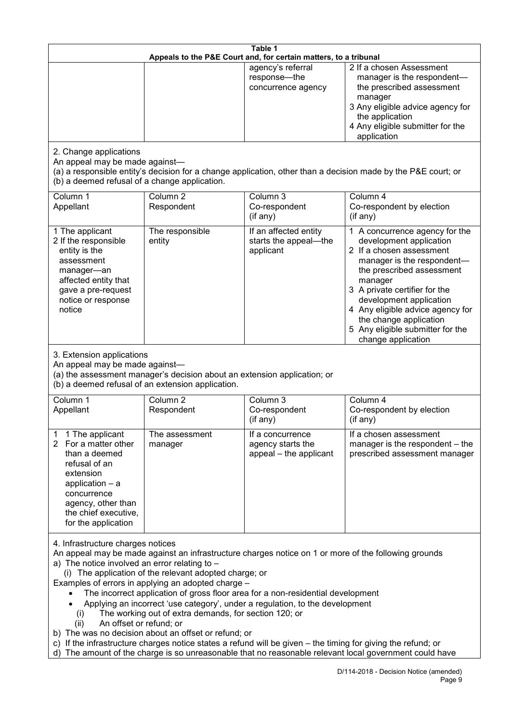| Table 1<br>Appeals to the P&E Court and, for certain matters, to a tribunal                                                                                                                                                                                                                                                                                                                                                                                                                                                                                                                                                                                                                                                                                                                                                                                          |                                   |                                                                 |                                                                                                                                                                                                                                                                                                                                                 |
|----------------------------------------------------------------------------------------------------------------------------------------------------------------------------------------------------------------------------------------------------------------------------------------------------------------------------------------------------------------------------------------------------------------------------------------------------------------------------------------------------------------------------------------------------------------------------------------------------------------------------------------------------------------------------------------------------------------------------------------------------------------------------------------------------------------------------------------------------------------------|-----------------------------------|-----------------------------------------------------------------|-------------------------------------------------------------------------------------------------------------------------------------------------------------------------------------------------------------------------------------------------------------------------------------------------------------------------------------------------|
|                                                                                                                                                                                                                                                                                                                                                                                                                                                                                                                                                                                                                                                                                                                                                                                                                                                                      |                                   | agency's referral<br>response-the<br>concurrence agency         | 2 If a chosen Assessment<br>manager is the respondent-<br>the prescribed assessment<br>manager<br>3 Any eligible advice agency for<br>the application<br>4 Any eligible submitter for the<br>application                                                                                                                                        |
| 2. Change applications<br>An appeal may be made against-<br>(a) a responsible entity's decision for a change application, other than a decision made by the P&E court; or<br>(b) a deemed refusal of a change application.                                                                                                                                                                                                                                                                                                                                                                                                                                                                                                                                                                                                                                           |                                   |                                                                 |                                                                                                                                                                                                                                                                                                                                                 |
| Column 1<br>Appellant                                                                                                                                                                                                                                                                                                                                                                                                                                                                                                                                                                                                                                                                                                                                                                                                                                                | Column <sub>2</sub><br>Respondent | Column 3<br>Co-respondent<br>(if any)                           | Column 4<br>Co-respondent by election<br>(if any)                                                                                                                                                                                                                                                                                               |
| 1 The applicant<br>2 If the responsible<br>entity is the<br>assessment<br>manager-an<br>affected entity that<br>gave a pre-request<br>notice or response<br>notice                                                                                                                                                                                                                                                                                                                                                                                                                                                                                                                                                                                                                                                                                                   | The responsible<br>entity         | If an affected entity<br>starts the appeal-the<br>applicant     | 1 A concurrence agency for the<br>development application<br>2 If a chosen assessment<br>manager is the respondent-<br>the prescribed assessment<br>manager<br>3 A private certifier for the<br>development application<br>4 Any eligible advice agency for<br>the change application<br>5 Any eligible submitter for the<br>change application |
| 3. Extension applications<br>An appeal may be made against-<br>(a) the assessment manager's decision about an extension application; or<br>(b) a deemed refusal of an extension application.                                                                                                                                                                                                                                                                                                                                                                                                                                                                                                                                                                                                                                                                         |                                   |                                                                 |                                                                                                                                                                                                                                                                                                                                                 |
| Column 1<br>Appellant                                                                                                                                                                                                                                                                                                                                                                                                                                                                                                                                                                                                                                                                                                                                                                                                                                                | Column <sub>2</sub><br>Respondent | Column 3<br>Co-respondent<br>(if any)                           | Column 4<br>Co-respondent by election<br>(if any)                                                                                                                                                                                                                                                                                               |
| 1 The applicant<br>1<br>For a matter other<br>2<br>than a deemed<br>refusal of an<br>extension<br>application $-$ a<br>concurrence<br>agency, other than<br>the chief executive,<br>for the application                                                                                                                                                                                                                                                                                                                                                                                                                                                                                                                                                                                                                                                              | The assessment<br>manager         | If a concurrence<br>agency starts the<br>appeal - the applicant | If a chosen assessment<br>manager is the respondent – the<br>prescribed assessment manager                                                                                                                                                                                                                                                      |
| 4. Infrastructure charges notices<br>An appeal may be made against an infrastructure charges notice on 1 or more of the following grounds<br>a) The notice involved an error relating to $-$<br>(i) The application of the relevant adopted charge; or<br>Examples of errors in applying an adopted charge -<br>The incorrect application of gross floor area for a non-residential development<br>Applying an incorrect 'use category', under a regulation, to the development<br>The working out of extra demands, for section 120; or<br>(i)<br>An offset or refund; or<br>(ii)<br>b) The was no decision about an offset or refund; or<br>c) If the infrastructure charges notice states a refund will be given – the timing for giving the refund; or<br>d) The amount of the charge is so unreasonable that no reasonable relevant local government could have |                                   |                                                                 |                                                                                                                                                                                                                                                                                                                                                 |
|                                                                                                                                                                                                                                                                                                                                                                                                                                                                                                                                                                                                                                                                                                                                                                                                                                                                      |                                   |                                                                 | D/114-2018 - Decision Notice (amended)<br>Page 9                                                                                                                                                                                                                                                                                                |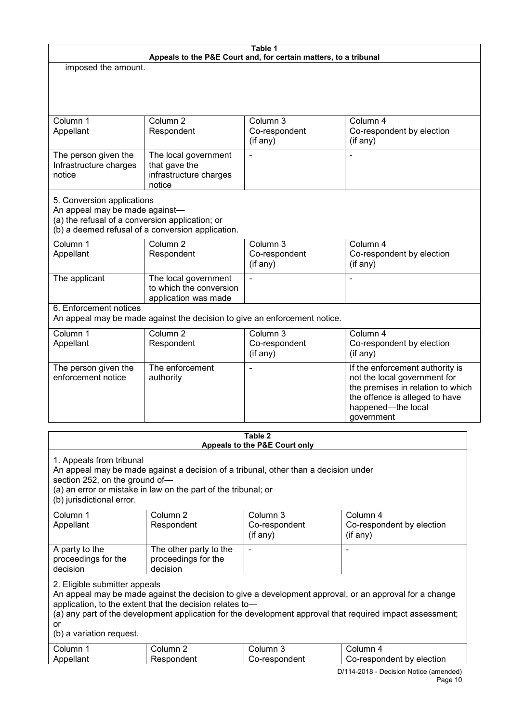| Table 1                                                                                                                                                                                                                                                                           |                                                                           |                                       |                                                                                                                                                                                                                     |
|-----------------------------------------------------------------------------------------------------------------------------------------------------------------------------------------------------------------------------------------------------------------------------------|---------------------------------------------------------------------------|---------------------------------------|---------------------------------------------------------------------------------------------------------------------------------------------------------------------------------------------------------------------|
| Appeals to the P&E Court and, for certain matters, to a tribunal<br>imposed the amount.                                                                                                                                                                                           |                                                                           |                                       |                                                                                                                                                                                                                     |
|                                                                                                                                                                                                                                                                                   |                                                                           |                                       |                                                                                                                                                                                                                     |
|                                                                                                                                                                                                                                                                                   |                                                                           |                                       |                                                                                                                                                                                                                     |
|                                                                                                                                                                                                                                                                                   |                                                                           |                                       |                                                                                                                                                                                                                     |
| Column 1<br>Appellant                                                                                                                                                                                                                                                             | Column <sub>2</sub><br>Respondent                                         | Column 3<br>Co-respondent<br>(if any) | Column 4<br>Co-respondent by election<br>(if any)                                                                                                                                                                   |
| The person given the<br>Infrastructure charges<br>notice                                                                                                                                                                                                                          | The local government<br>that gave the<br>infrastructure charges<br>notice | $\overline{\phantom{0}}$              |                                                                                                                                                                                                                     |
| 5. Conversion applications<br>An appeal may be made against-<br>(a) the refusal of a conversion application; or                                                                                                                                                                   | (b) a deemed refusal of a conversion application.                         |                                       |                                                                                                                                                                                                                     |
| Column 1<br>Appellant                                                                                                                                                                                                                                                             | Column 2<br>Respondent                                                    | Column 3<br>Co-respondent<br>(if any) | Column 4<br>Co-respondent by election<br>(if any)                                                                                                                                                                   |
| The applicant                                                                                                                                                                                                                                                                     | The local government<br>to which the conversion<br>application was made   | $\blacksquare$                        | L,                                                                                                                                                                                                                  |
| 6. Enforcement notices                                                                                                                                                                                                                                                            | An appeal may be made against the decision to give an enforcement notice. |                                       |                                                                                                                                                                                                                     |
| Column 1<br>Appellant                                                                                                                                                                                                                                                             | Column <sub>2</sub><br>Respondent                                         | Column 3<br>Co-respondent<br>(if any) | Column 4<br>Co-respondent by election<br>(if any)                                                                                                                                                                   |
| The person given the<br>enforcement notice                                                                                                                                                                                                                                        | The enforcement<br>authority                                              |                                       | If the enforcement authority is<br>not the local government for<br>the premises in relation to which<br>the offence is alleged to have<br>happened-the local<br>government                                          |
|                                                                                                                                                                                                                                                                                   |                                                                           | Table 2                               |                                                                                                                                                                                                                     |
| Appeals to the P&E Court only<br>1. Appeals from tribunal<br>An appeal may be made against a decision of a tribunal, other than a decision under<br>section 252, on the ground of-<br>(a) an error or mistake in law on the part of the tribunal; or<br>(b) jurisdictional error. |                                                                           |                                       |                                                                                                                                                                                                                     |
| Column 1<br>Appellant                                                                                                                                                                                                                                                             | Column <sub>2</sub><br>Respondent                                         | Column 3<br>Co-respondent<br>(if any) | Column 4<br>Co-respondent by election<br>(if any)                                                                                                                                                                   |
| A party to the<br>proceedings for the<br>decision                                                                                                                                                                                                                                 | The other party to the<br>proceedings for the<br>decision                 | $\overline{\phantom{a}}$              |                                                                                                                                                                                                                     |
| 2. Eligible submitter appeals<br>or<br>(b) a variation request.                                                                                                                                                                                                                   | application, to the extent that the decision relates to-                  |                                       | An appeal may be made against the decision to give a development approval, or an approval for a change<br>(a) any part of the development application for the development approval that required impact assessment; |
| Column 1                                                                                                                                                                                                                                                                          | Column <sub>2</sub>                                                       | Column 3                              | Column 4                                                                                                                                                                                                            |

Co-respondent

Appellant

Respondent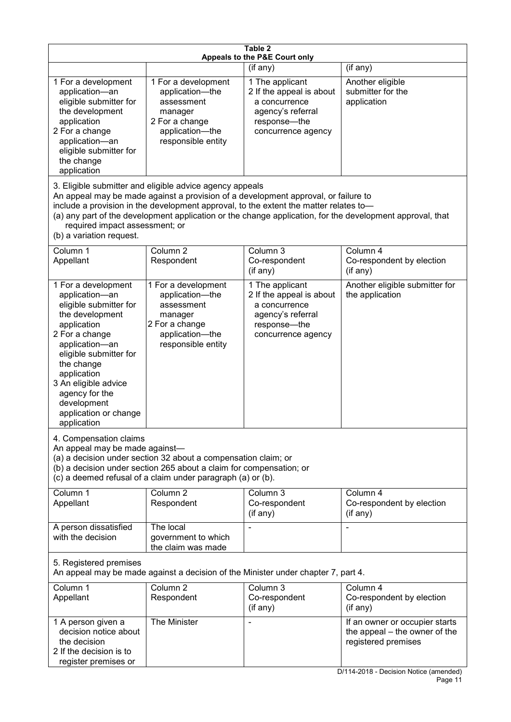| Table 2<br>Appeals to the P&E Court only                                                                                                                                                                                                                                                                                                                                                                           |                                                                                                                                                                                                      |                                                                                                                           |                                                                                                                                  |
|--------------------------------------------------------------------------------------------------------------------------------------------------------------------------------------------------------------------------------------------------------------------------------------------------------------------------------------------------------------------------------------------------------------------|------------------------------------------------------------------------------------------------------------------------------------------------------------------------------------------------------|---------------------------------------------------------------------------------------------------------------------------|----------------------------------------------------------------------------------------------------------------------------------|
|                                                                                                                                                                                                                                                                                                                                                                                                                    |                                                                                                                                                                                                      | (if any)                                                                                                                  | (if any)                                                                                                                         |
| 1 For a development<br>application-an<br>eligible submitter for<br>the development<br>application<br>2 For a change<br>application-an<br>eligible submitter for<br>the change<br>application                                                                                                                                                                                                                       | 1 For a development<br>application-the<br>assessment<br>manager<br>2 For a change<br>application-the<br>responsible entity                                                                           | 1 The applicant<br>2 If the appeal is about<br>a concurrence<br>agency's referral<br>response---the<br>concurrence agency | Another eligible<br>submitter for the<br>application                                                                             |
| 3. Eligible submitter and eligible advice agency appeals<br>An appeal may be made against a provision of a development approval, or failure to<br>include a provision in the development approval, to the extent the matter relates to-<br>(a) any part of the development application or the change application, for the development approval, that<br>required impact assessment; or<br>(b) a variation request. |                                                                                                                                                                                                      |                                                                                                                           |                                                                                                                                  |
| Column 1<br>Appellant                                                                                                                                                                                                                                                                                                                                                                                              | Column 2<br>Respondent                                                                                                                                                                               | Column 3<br>Co-respondent<br>(if any)                                                                                     | Column 4<br>Co-respondent by election<br>(if any)                                                                                |
| 1 For a development<br>application-an<br>eligible submitter for<br>the development<br>application<br>2 For a change<br>application-an<br>eligible submitter for<br>the change<br>application<br>3 An eligible advice<br>agency for the<br>development<br>application or change<br>application                                                                                                                      | 1 For a development<br>application-the<br>assessment<br>manager<br>2 For a change<br>application-the<br>responsible entity                                                                           | 1 The applicant<br>2 If the appeal is about<br>a concurrence<br>agency's referral<br>response-the<br>concurrence agency   | Another eligible submitter for<br>the application                                                                                |
| 4. Compensation claims<br>An appeal may be made against-                                                                                                                                                                                                                                                                                                                                                           | (a) a decision under section 32 about a compensation claim; or<br>(b) a decision under section 265 about a claim for compensation; or<br>(c) a deemed refusal of a claim under paragraph (a) or (b). |                                                                                                                           |                                                                                                                                  |
| Column 1<br>Appellant                                                                                                                                                                                                                                                                                                                                                                                              | Column <sub>2</sub><br>Respondent                                                                                                                                                                    | Column 3<br>Co-respondent<br>(if any)                                                                                     | Column 4<br>Co-respondent by election<br>(if any)                                                                                |
| A person dissatisfied<br>with the decision                                                                                                                                                                                                                                                                                                                                                                         | The local<br>government to which<br>the claim was made                                                                                                                                               |                                                                                                                           |                                                                                                                                  |
| 5. Registered premises<br>An appeal may be made against a decision of the Minister under chapter 7, part 4.                                                                                                                                                                                                                                                                                                        |                                                                                                                                                                                                      |                                                                                                                           |                                                                                                                                  |
| Column 1<br>Appellant                                                                                                                                                                                                                                                                                                                                                                                              | Column <sub>2</sub><br>Respondent                                                                                                                                                                    | Column $3$<br>Co-respondent<br>(if any)                                                                                   | Column 4<br>Co-respondent by election<br>(if any)                                                                                |
| 1 A person given a<br>decision notice about<br>the decision<br>2 If the decision is to<br>register premises or                                                                                                                                                                                                                                                                                                     | The Minister                                                                                                                                                                                         |                                                                                                                           | If an owner or occupier starts<br>the appeal – the owner of the<br>registered premises<br>D/114-2018 - Decision Notice (amended) |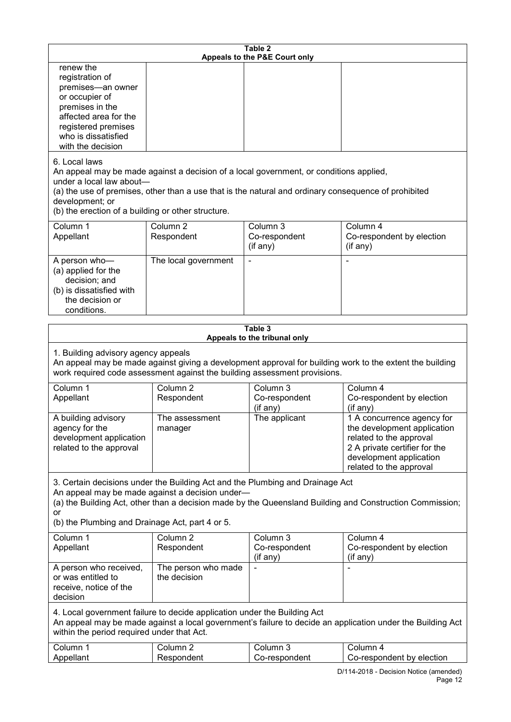| Table 2<br>Appeals to the P&E Court only                                                                                                                                                                                                                     |                                     |                                                                                                                                                                                                |                                                                                                                                                                             |
|--------------------------------------------------------------------------------------------------------------------------------------------------------------------------------------------------------------------------------------------------------------|-------------------------------------|------------------------------------------------------------------------------------------------------------------------------------------------------------------------------------------------|-----------------------------------------------------------------------------------------------------------------------------------------------------------------------------|
| renew the<br>registration of<br>premises-an owner<br>or occupier of<br>premises in the<br>affected area for the<br>registered premises<br>who is dissatisfied<br>with the decision                                                                           |                                     |                                                                                                                                                                                                |                                                                                                                                                                             |
| 6. Local laws<br>under a local law about-<br>development; or<br>(b) the erection of a building or other structure.                                                                                                                                           |                                     | An appeal may be made against a decision of a local government, or conditions applied,<br>(a) the use of premises, other than a use that is the natural and ordinary consequence of prohibited |                                                                                                                                                                             |
| Column 1<br>Appellant                                                                                                                                                                                                                                        | Column <sub>2</sub><br>Respondent   | Column 3<br>Co-respondent<br>(if any)                                                                                                                                                          | Column 4<br>Co-respondent by election<br>(if any)                                                                                                                           |
| A person who-<br>(a) applied for the<br>decision; and<br>(b) is dissatisfied with<br>the decision or<br>conditions.                                                                                                                                          | The local government                |                                                                                                                                                                                                |                                                                                                                                                                             |
|                                                                                                                                                                                                                                                              |                                     | Table 3                                                                                                                                                                                        |                                                                                                                                                                             |
| Appeals to the tribunal only<br>1. Building advisory agency appeals<br>An appeal may be made against giving a development approval for building work to the extent the building<br>work required code assessment against the building assessment provisions. |                                     |                                                                                                                                                                                                |                                                                                                                                                                             |
| Column 1<br>Appellant                                                                                                                                                                                                                                        | Column $2$<br>Respondent            | Column 3<br>Co-respondent<br>(if any)                                                                                                                                                          | Column 4<br>Co-respondent by election<br>(if any)                                                                                                                           |
| A building advisory<br>agency for the<br>development application<br>related to the approval                                                                                                                                                                  | The assessment<br>manager           | The applicant                                                                                                                                                                                  | 1 A concurrence agency for<br>the development application<br>related to the approval<br>2 A private certifier for the<br>development application<br>related to the approval |
| An appeal may be made against a decision under-<br>or<br>(b) the Plumbing and Drainage Act, part 4 or 5.                                                                                                                                                     |                                     | 3. Certain decisions under the Building Act and the Plumbing and Drainage Act                                                                                                                  | (a) the Building Act, other than a decision made by the Queensland Building and Construction Commission;                                                                    |
| Column 1<br>Appellant                                                                                                                                                                                                                                        | Column <sub>2</sub><br>Respondent   | Column 3<br>Co-respondent                                                                                                                                                                      | Column 4<br>Co-respondent by election                                                                                                                                       |
| A person who received,<br>or was entitled to<br>receive, notice of the<br>decision                                                                                                                                                                           | The person who made<br>the decision | (if any)                                                                                                                                                                                       | (if any)                                                                                                                                                                    |
| 4. Local government failure to decide application under the Building Act<br>An appeal may be made against a local government's failure to decide an application under the Building Act<br>within the period required under that Act.                         |                                     |                                                                                                                                                                                                |                                                                                                                                                                             |
| Column 1<br>Appellant                                                                                                                                                                                                                                        | Column <sub>2</sub><br>Respondent   | Column 3<br>Co-respondent                                                                                                                                                                      | Column 4<br>Co-respondent by election                                                                                                                                       |